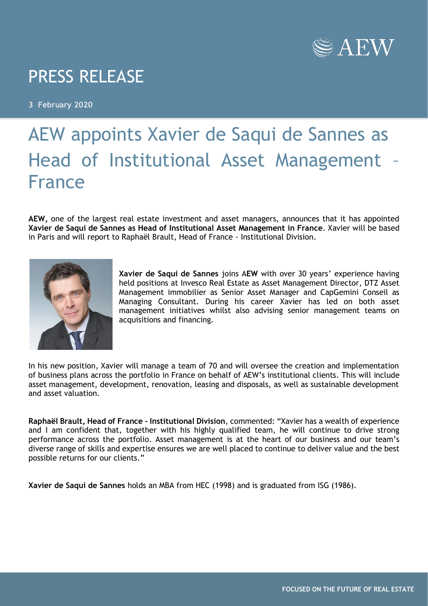

## PRESS RELEASE

**3 February 2020**

## AEW appoints Xavier de Saqui de Sannes as Head of Institutional Asset Management – France

**AEW,** one of the largest real estate investment and asset managers, announces that it has appointed **Xavier de Saqui de Sannes as Head of Institutional Asset Management in France**. Xavier will be based in Paris and will report to Raphaël Brault, Head of France - Institutional Division.



**Xavier de Saqui de Sannes** joins A**EW** with over 30 years' experience having held positions at Invesco Real Estate as Asset Management Director, DTZ Asset Management immobilier as Senior Asset Manager and CapGemini Conseil as Managing Consultant. During his career Xavier has led on both asset management initiatives whilst also advising senior management teams on acquisitions and financing.

In his new position, Xavier will manage a team of 70 and will oversee the creation and implementation of business plans across the portfolio in France on behalf of AEW's institutional clients. This will include asset management, development, renovation, leasing and disposals, as well as sustainable development and asset valuation.

**Raphaël Brault, Head of France - Institutional Division**, commented: "Xavier has a wealth of experience and I am confident that, together with his highly qualified team, he will continue to drive strong performance across the portfolio. Asset management is at the heart of our business and our team's diverse range of skills and expertise ensures we are well placed to continue to deliver value and the best possible returns for our clients."

**Xavier de Saqui de Sannes** holds an MBA from HEC (1998) and is graduated from ISG (1986).